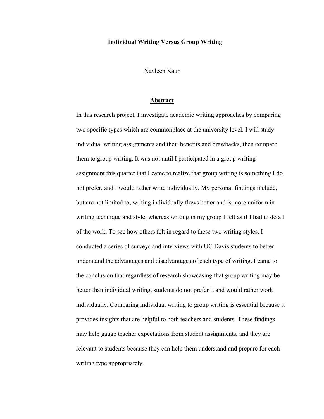## **Individual Writing Versus Group Writing**

Navleen Kaur

## **Abstract**

In this research project, I investigate academic writing approaches by comparing two specific types which are commonplace at the university level. I will study individual writing assignments and their benefits and drawbacks, then compare them to group writing. It was not until I participated in a group writing assignment this quarter that I came to realize that group writing is something I do not prefer, and I would rather write individually. My personal findings include, but are not limited to, writing individually flows better and is more uniform in writing technique and style, whereas writing in my group I felt as if I had to do all of the work. To see how others felt in regard to these two writing styles, I conducted a series of surveys and interviews with UC Davis students to better understand the advantages and disadvantages of each type of writing. I came to the conclusion that regardless of research showcasing that group writing may be better than individual writing, students do not prefer it and would rather work individually. Comparing individual writing to group writing is essential because it provides insights that are helpful to both teachers and students. These findings may help gauge teacher expectations from student assignments, and they are relevant to students because they can help them understand and prepare for each writing type appropriately.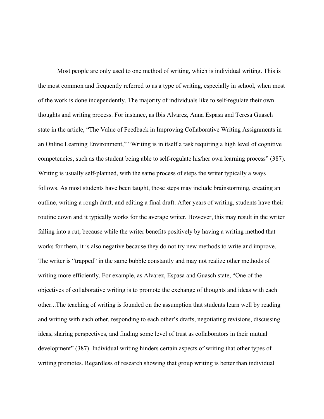Most people are only used to one method of writing, which is individual writing. This is the most common and frequently referred to as a type of writing, especially in school, when most of the work is done independently. The majority of individuals like to self-regulate their own thoughts and writing process. For instance, as Ibis Alvarez, Anna Espasa and Teresa Guasch state in the article, "The Value of Feedback in Improving Collaborative Writing Assignments in an Online Learning Environment," "Writing is in itself a task requiring a high level of cognitive competencies, such as the student being able to self-regulate his/her own learning process" (387). Writing is usually self-planned, with the same process of steps the writer typically always follows. As most students have been taught, those steps may include brainstorming, creating an outline, writing a rough draft, and editing a final draft. After years of writing, students have their routine down and it typically works for the average writer. However, this may result in the writer falling into a rut, because while the writer benefits positively by having a writing method that works for them, it is also negative because they do not try new methods to write and improve. The writer is "trapped" in the same bubble constantly and may not realize other methods of writing more efficiently. For example, as Alvarez, Espasa and Guasch state, "One of the objectives of collaborative writing is to promote the exchange of thoughts and ideas with each other...The teaching of writing is founded on the assumption that students learn well by reading and writing with each other, responding to each other's drafts, negotiating revisions, discussing ideas, sharing perspectives, and finding some level of trust as collaborators in their mutual development" (387). Individual writing hinders certain aspects of writing that other types of writing promotes. Regardless of research showing that group writing is better than individual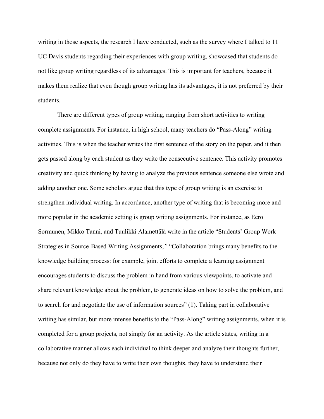writing in those aspects, the research I have conducted, such as the survey where I talked to 11 UC Davis students regarding their experiences with group writing, showcased that students do not like group writing regardless of its advantages. This is important for teachers, because it makes them realize that even though group writing has its advantages, it is not preferred by their students.

There are different types of group writing, ranging from short activities to writing complete assignments. For instance, in high school, many teachers do "Pass-Along" writing activities. This is when the teacher writes the first sentence of the story on the paper, and it then gets passed along by each student as they write the consecutive sentence. This activity promotes creativity and quick thinking by having to analyze the previous sentence someone else wrote and adding another one. Some scholars argue that this type of group writing is an exercise to strengthen individual writing. In accordance, another type of writing that is becoming more and more popular in the academic setting is group writing assignments. For instance, as Eero Sormunen, Mikko Tanni, and Tuulikki Alamettälä write in the article "Students' Group Work Strategies in Source-Based Writing Assignments,*"* "Collaboration brings many benefits to the knowledge building process: for example, joint efforts to complete a learning assignment encourages students to discuss the problem in hand from various viewpoints, to activate and share relevant knowledge about the problem, to generate ideas on how to solve the problem, and to search for and negotiate the use of information sources" (1). Taking part in collaborative writing has similar, but more intense benefits to the "Pass-Along" writing assignments, when it is completed for a group projects, not simply for an activity. As the article states, writing in a collaborative manner allows each individual to think deeper and analyze their thoughts further, because not only do they have to write their own thoughts, they have to understand their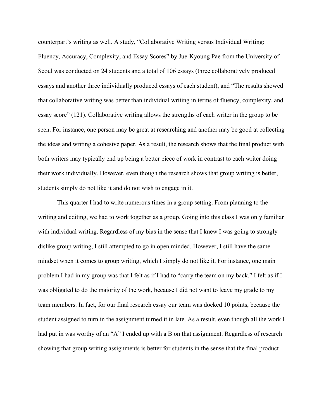counterpart's writing as well. A study, "Collaborative Writing versus Individual Writing: Fluency, Accuracy, Complexity, and Essay Scores" by Jue-Kyoung Pae from the University of Seoul was conducted on 24 students and a total of 106 essays (three collaboratively produced essays and another three individually produced essays of each student), and "The results showed that collaborative writing was better than individual writing in terms of fluency, complexity, and essay score" (121). Collaborative writing allows the strengths of each writer in the group to be seen. For instance, one person may be great at researching and another may be good at collecting the ideas and writing a cohesive paper. As a result, the research shows that the final product with both writers may typically end up being a better piece of work in contrast to each writer doing their work individually. However, even though the research shows that group writing is better, students simply do not like it and do not wish to engage in it.

This quarter I had to write numerous times in a group setting. From planning to the writing and editing, we had to work together as a group. Going into this class I was only familiar with individual writing. Regardless of my bias in the sense that I knew I was going to strongly dislike group writing, I still attempted to go in open minded. However, I still have the same mindset when it comes to group writing, which I simply do not like it. For instance, one main problem I had in my group was that I felt as if I had to "carry the team on my back." I felt as if I was obligated to do the majority of the work, because I did not want to leave my grade to my team members. In fact, for our final research essay our team was docked 10 points, because the student assigned to turn in the assignment turned it in late. As a result, even though all the work I had put in was worthy of an "A" I ended up with a B on that assignment. Regardless of research showing that group writing assignments is better for students in the sense that the final product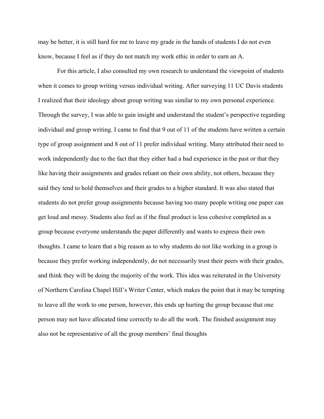may be better, it is still hard for me to leave my grade in the hands of students I do not even know, because I feel as if they do not match my work ethic in order to earn an A.

For this article, I also consulted my own research to understand the viewpoint of students when it comes to group writing versus individual writing. After surveying 11 UC Davis students I realized that their ideology about group writing was similar to my own personal experience. Through the survey, I was able to gain insight and understand the student's perspective regarding individual and group writing. I came to find that 9 out of 11 of the students have written a certain type of group assignment and 8 out of 11 prefer individual writing. Many attributed their need to work independently due to the fact that they either had a bad experience in the past or that they like having their assignments and grades reliant on their own ability, not others, because they said they tend to hold themselves and their grades to a higher standard. It was also stated that students do not prefer group assignments because having too many people writing one paper can get loud and messy. Students also feel as if the final product is less cohesive completed as a group because everyone understands the paper differently and wants to express their own thoughts. I came to learn that a big reason as to why students do not like working in a group is because they prefer working independently, do not necessarily trust their peers with their grades, and think they will be doing the majority of the work. This idea was reiterated in the University of Northern Carolina Chapel Hill's Writer Center, which makes the point that it may be tempting to leave all the work to one person, however, this ends up hurting the group because that one person may not have allocated time correctly to do all the work. The finished assignment may also not be representative of all the group members' final thoughts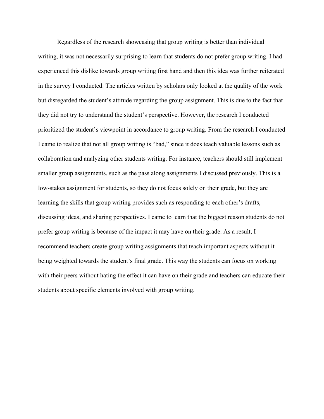Regardless of the research showcasing that group writing is better than individual writing, it was not necessarily surprising to learn that students do not prefer group writing. I had experienced this dislike towards group writing first hand and then this idea was further reiterated in the survey I conducted. The articles written by scholars only looked at the quality of the work but disregarded the student's attitude regarding the group assignment. This is due to the fact that they did not try to understand the student's perspective. However, the research I conducted prioritized the student's viewpoint in accordance to group writing. From the research I conducted I came to realize that not all group writing is "bad," since it does teach valuable lessons such as collaboration and analyzing other students writing. For instance, teachers should still implement smaller group assignments, such as the pass along assignments I discussed previously. This is a low-stakes assignment for students, so they do not focus solely on their grade, but they are learning the skills that group writing provides such as responding to each other's drafts, discussing ideas, and sharing perspectives. I came to learn that the biggest reason students do not prefer group writing is because of the impact it may have on their grade. As a result, I recommend teachers create group writing assignments that teach important aspects without it being weighted towards the student's final grade. This way the students can focus on working with their peers without hating the effect it can have on their grade and teachers can educate their students about specific elements involved with group writing.